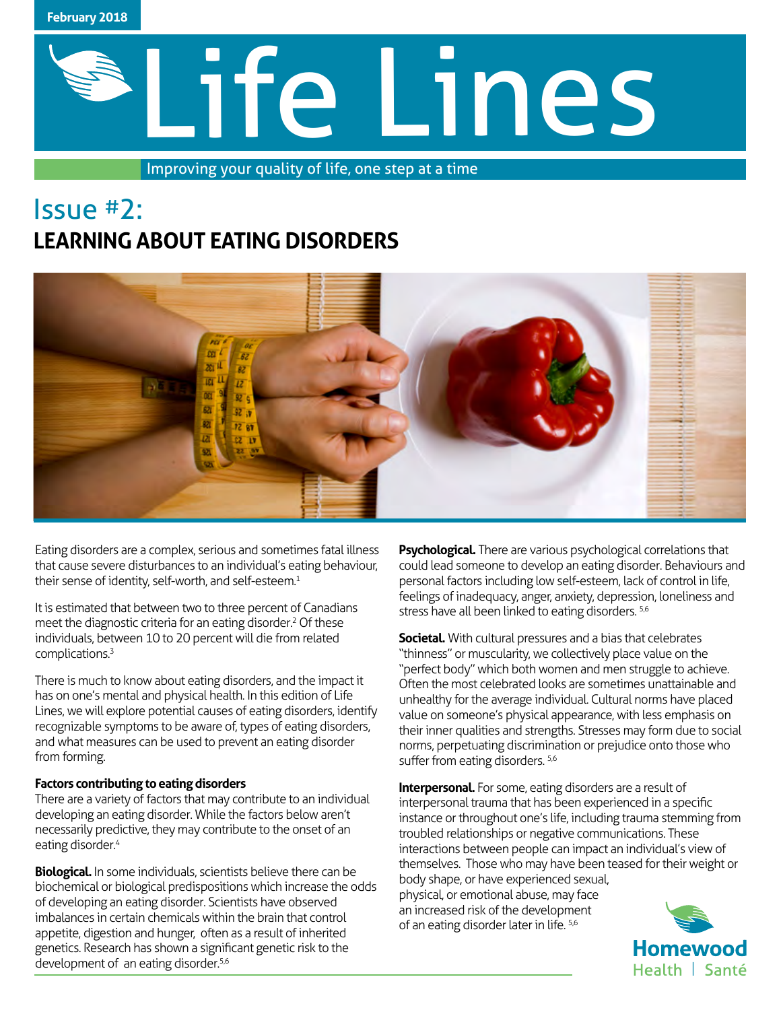

# Life Lines

Improving your quality of life, one step at a time

# Issue #2: **LEARNING ABOUT EATING DISORDERS**



Eating disorders are a complex, serious and sometimes fatal illness that cause severe disturbances to an individual's eating behaviour, their sense of identity, self-worth, and self-esteem.<sup>1</sup>

It is estimated that between two to three percent of Canadians meet the diagnostic criteria for an eating disorder.<sup>2</sup> Of these individuals, between 10 to 20 percent will die from related complications.3

There is much to know about eating disorders, and the impact it has on one's mental and physical health. In this edition of Life Lines, we will explore potential causes of eating disorders, identify recognizable symptoms to be aware of, types of eating disorders, and what measures can be used to prevent an eating disorder from forming.

### **Factors contributing to eating disorders**

There are a variety of factors that may contribute to an individual developing an eating disorder. While the factors below aren't necessarily predictive, they may contribute to the onset of an eating disorder.<sup>4</sup>

**Biological.** In some individuals, scientists believe there can be biochemical or biological predispositions which increase the odds of developing an eating disorder. Scientists have observed imbalances in certain chemicals within the brain that control appetite, digestion and hunger, often as a result of inherited genetics. Research has shown a significant genetic risk to the development of an eating disorder.<sup>5,6</sup>

**Psychological.** There are various psychological correlations that could lead someone to develop an eating disorder. Behaviours and personal factors including low self-esteem, lack of control in life, feelings of inadequacy, anger, anxiety, depression, loneliness and stress have all been linked to eating disorders. <sup>5,6</sup>

**Societal.** With cultural pressures and a bias that celebrates "thinness" or muscularity, we collectively place value on the "perfect body" which both women and men struggle to achieve. Often the most celebrated looks are sometimes unattainable and unhealthy for the average individual. Cultural norms have placed value on someone's physical appearance, with less emphasis on their inner qualities and strengths. Stresses may form due to social norms, perpetuating discrimination or prejudice onto those who suffer from eating disorders. 5,6

**Interpersonal.** For some, eating disorders are a result of interpersonal trauma that has been experienced in a specific instance or throughout one's life, including trauma stemming from troubled relationships or negative communications. These interactions between people can impact an individual's view of themselves. Those who may have been teased for their weight or body shape, or have experienced sexual,

physical, or emotional abuse, may face an increased risk of the development of an eating disorder later in life. 5,6

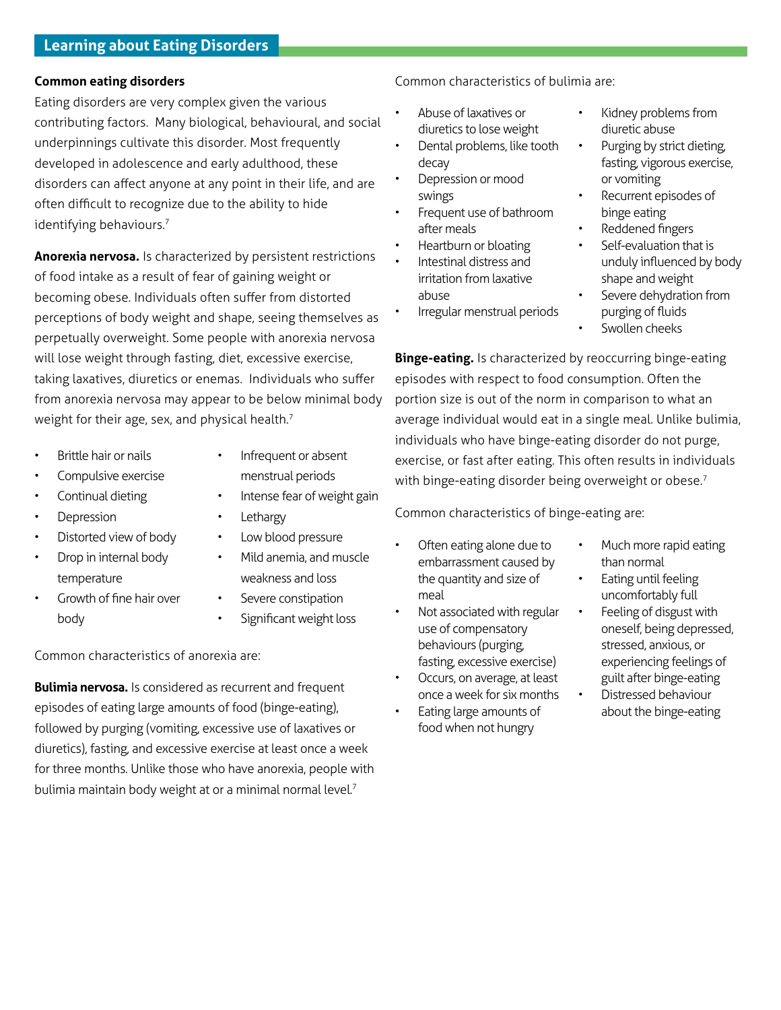### **Common eating disorders**

Eating disorders are very complex given the various contributing factors. Many biological, behavioural, and social underpinnings cultivate this disorder. Most frequently developed in adolescence and early adulthood, these disorders can affect anyone at any point in their life, and are often difficult to recognize due to the ability to hide identifying behaviours.<sup>7</sup>

**Anorexia nervosa.** Is characterized by persistent restrictions of food intake as a result of fear of gaining weight or becoming obese. Individuals often suffer from distorted perceptions of body weight and shape, seeing themselves as perpetually overweight. Some people with anorexia nervosa will lose weight through fasting, diet, excessive exercise, taking laxatives, diuretics or enemas. Individuals who suffer from anorexia nervosa may appear to be below minimal body weight for their age, sex, and physical health.<sup>7</sup>

- Brittle hair or nails
- Compulsive exercise
- Continual dieting
- **Depression**
- Distorted view of body
- Drop in internal body temperature
- Growth of fine hair over body
- Infrequent or absent menstrual periods
- Intense fear of weight gain
- **Lethargy**
- Low blood pressure
	- Mild anemia, and muscle weakness and loss
- Severe constipation
- Significant weight loss

Common characteristics of anorexia are:

**Bulimia nervosa.** Is considered as recurrent and frequent episodes of eating large amounts of food (binge-eating), followed by purging (vomiting, excessive use of laxatives or diuretics), fasting, and excessive exercise at least once a week for three months. Unlike those who have anorexia, people with bulimia maintain body weight at or a minimal normal level.7

Common characteristics of bulimia are:

- Abuse of laxatives or diuretics to lose weight
- Dental problems, like tooth decay
- Depression or mood swings
- Frequent use of bathroom after meals
- Heartburn or bloating
- Intestinal distress and irritation from laxative abuse
- Irregular menstrual periods
- or vomiting Recurrent episodes of

Kidney problems from

Purging by strict dieting, fasting, vigorous exercise,

binge eating • Reddened fingers

diuretic abuse

- Self-evaluation that is
- unduly influenced by body shape and weight
- Severe dehydration from purging of fluids
- Swollen cheeks

**Binge-eating.** Is characterized by reoccurring binge-eating episodes with respect to food consumption. Often the portion size is out of the norm in comparison to what an average individual would eat in a single meal. Unlike bulimia, individuals who have binge-eating disorder do not purge, exercise, or fast after eating. This often results in individuals with binge-eating disorder being overweight or obese.<sup>7</sup>

Common characteristics of binge-eating are:

- Often eating alone due to embarrassment caused by the quantity and size of meal
- Not associated with regular use of compensatory behaviours (purging, fasting, excessive exercise)
- Occurs, on average, at least once a week for six months
- Eating large amounts of food when not hungry
- Much more rapid eating than normal
- Eating until feeling uncomfortably full
- Feeling of disgust with oneself, being depressed, stressed, anxious, or experiencing feelings of guilt after binge-eating
- Distressed behaviour about the binge-eating